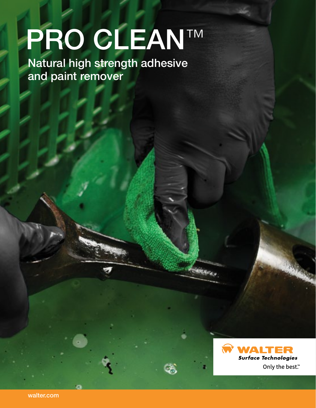# **LIGHT** PRO CLEAN™

Natural high strength adhesive and paint remover



Q)